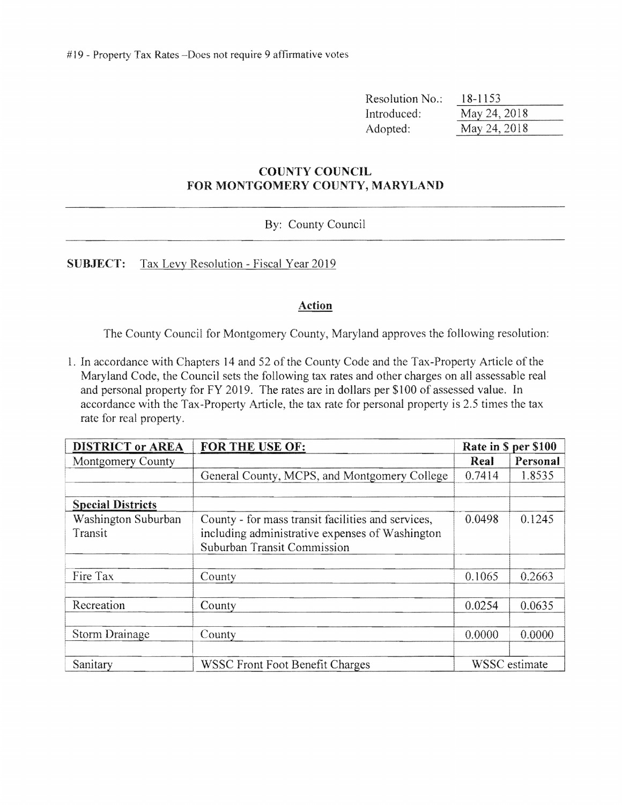# 19 - Property Tax Rates -Does not require 9 affirmative votes

| Resolution No.: | 18-1153      |
|-----------------|--------------|
| Introduced:     | May 24, 2018 |
| Adopted:        | May 24, 2018 |

#### **COUNTY COUNCIL FOR MONTGOMERY COUNTY, MARYLAND**

#### By: County Council

**SUBJECT:** Tax Levy Resolution - Fiscal Year 2019

#### **Action**

The County Council for Montgomery County, Maryland approves the following resolution:

1. In accordance with Chapters 14 and 52 of the County Code and the Tax-Property Article ofthe Maryland Code, the Council sets the following tax rates and other charges on all assessable real and personal property for FY 2019. The rates are in dollars per \$100 of assessed value. In accordance with the Tax-Property Article, the tax rate for personal property is 2.5 times the tax rate for real property.

| <b>DISTRICT or AREA</b>  | FOR THE USE OF:                                    |        | Rate in \$ per \$100 |
|--------------------------|----------------------------------------------------|--------|----------------------|
| Montgomery County        |                                                    | Real   | Personal             |
|                          | General County, MCPS, and Montgomery College       | 0.7414 | 1.8535               |
|                          |                                                    |        |                      |
| <b>Special Districts</b> |                                                    |        |                      |
| Washington Suburban      | County - for mass transit facilities and services, | 0.0498 | 0.1245               |
| Transit                  | including administrative expenses of Washington    |        |                      |
|                          | Suburban Transit Commission                        |        |                      |
|                          |                                                    |        |                      |
| Fire Tax                 | County                                             | 0.1065 | 0.2663               |
|                          |                                                    |        |                      |
| Recreation               | County                                             | 0.0254 | 0.0635               |
|                          |                                                    |        |                      |
| Storm Drainage           | County                                             | 0.0000 | 0.0000               |
|                          |                                                    |        |                      |
| Sanitary                 | WSSC Front Foot Benefit Charges                    |        | WSSC estimate        |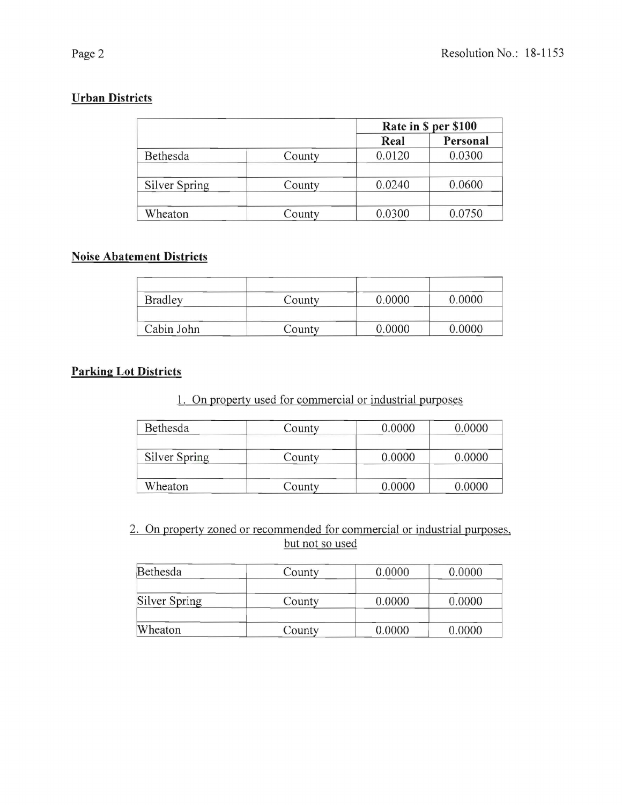# **Urban Districts**

|               |        | Rate in \$ per \$100 |          |
|---------------|--------|----------------------|----------|
|               |        | Real                 | Personal |
| Bethesda      | County | 0.0120               | 0.0300   |
|               |        |                      |          |
| Silver Spring | County | 0.0240               | 0.0600   |
|               |        |                      |          |
| Wheaton       | County | 0.0300               | 0.0750   |

#### **Noise Abatement Districts**

| <b>Bradley</b> | County | 0.0000 | 0.0000 |
|----------------|--------|--------|--------|
| Cabin John     | County | 0.0000 | 0.0000 |

### **Parking Lot Districts**

1. On property used for commercial or industrial purposes

| Bethesda      | County | 0.0000 | 0.0000 |
|---------------|--------|--------|--------|
| Silver Spring | County | 0.0000 | 0.0000 |
| Wheaton       | County | 0.0000 | 0.0000 |

2. On property zoned or recommended for commercial or industrial purposes, but not so used

| Bethesda      | County | 0.0000 | 0.0000 |
|---------------|--------|--------|--------|
|               |        |        |        |
| Silver Spring | County | 0.0000 | 0.0000 |
|               |        |        |        |
| Wheaton       | County | 0.0000 | 0.0000 |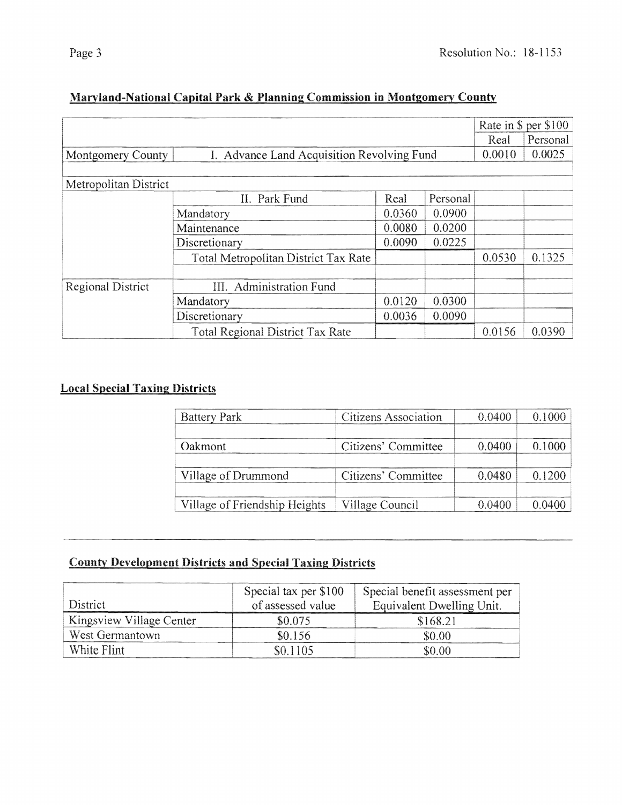| Ξ |  |
|---|--|
|---|--|

|                       |                                            |        |          |        | Rate in \$ per \$100 |
|-----------------------|--------------------------------------------|--------|----------|--------|----------------------|
|                       |                                            |        |          | Real   | Personal             |
| Montgomery County     | I. Advance Land Acquisition Revolving Fund |        |          | 0.0010 | 0.0025               |
|                       |                                            |        |          |        |                      |
| Metropolitan District |                                            |        |          |        |                      |
|                       | II. Park Fund                              | Real   | Personal |        |                      |
|                       | Mandatory                                  | 0.0360 | 0.0900   |        |                      |
|                       | Maintenance                                | 0.0080 | 0.0200   |        |                      |
|                       | Discretionary                              | 0.0090 | 0.0225   |        |                      |
|                       | Total Metropolitan District Tax Rate       |        |          | 0.0530 | 0.1325               |
| Regional District     | III. Administration Fund                   |        |          |        |                      |
|                       | Mandatory                                  | 0.0120 | 0.0300   |        |                      |
|                       | Discretionary                              | 0.0036 | 0.0090   |        |                      |
|                       | <b>Total Regional District Tax Rate</b>    |        |          | 0.0156 | 0.0390               |

# Maryland-National Capital Park & Planning Commission in Montgomery County

## **Local Special Taxing Districts**

| <b>Battery Park</b>           | Citizens Association | 0.0400 | 0.1000 |
|-------------------------------|----------------------|--------|--------|
| Oakmont                       | Citizens' Committee  | 0.0400 | 0.1000 |
| Village of Drummond           | Citizens' Committee  | 0.0480 | 0.1200 |
| Village of Friendship Heights | Village Council      | 0.0400 | 0.0400 |

### **County Development Districts and Special Taxing Districts**

|                          | Special tax per \$100 | Special benefit assessment per |
|--------------------------|-----------------------|--------------------------------|
| District                 | of assessed value     | Equivalent Dwelling Unit.      |
| Kingsview Village Center | \$0.075               | \$168.21                       |
| West Germantown          | \$0.156               | \$0.00                         |
| White Flint              | \$0.1105              | \$0.00                         |